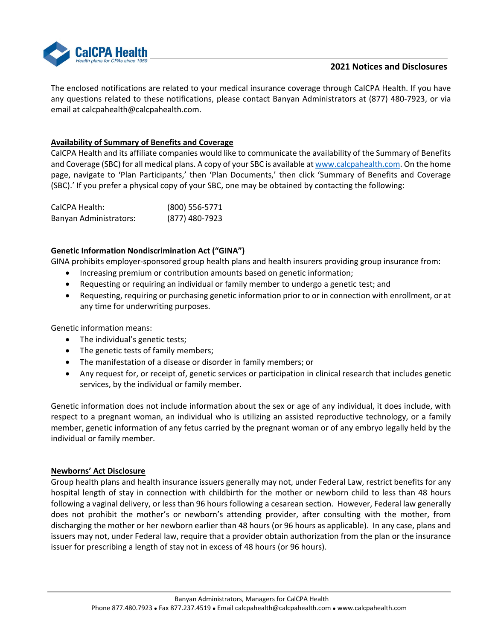

# **2021 Notices and Disclosures**

The enclosed notifications are related to your medical insurance coverage through CalCPA Health. If you have any questions related to these notifications, please contact Banyan Administrators at (877) 480‐7923, or via email at calcpahealth@calcpahealth.com.

## **Availability of Summary of Benefits and Coverage**

CalCPA Health and its affiliate companies would like to communicate the availability of the Summary of Benefits and Coverage (SBC) for all medical plans. A copy of your SBC is available at www.calcpahealth.com. On the home page, navigate to 'Plan Participants,' then 'Plan Documents,' then click 'Summary of Benefits and Coverage (SBC).' If you prefer a physical copy of your SBC, one may be obtained by contacting the following:

| CalCPA Health:                | $(800)$ 556-5771 |
|-------------------------------|------------------|
| <b>Banyan Administrators:</b> | (877) 480-7923   |

## **Genetic Information Nondiscrimination Act ("GINA")**

GINA prohibits employer-sponsored group health plans and health insurers providing group insurance from:

- Increasing premium or contribution amounts based on genetic information;
- Requesting or requiring an individual or family member to undergo a genetic test; and
- Requesting, requiring or purchasing genetic information prior to or in connection with enrollment, or at any time for underwriting purposes.

Genetic information means:

- The individual's genetic tests;
- The genetic tests of family members;
- The manifestation of a disease or disorder in family members; or
- Any request for, or receipt of, genetic services or participation in clinical research that includes genetic services, by the individual or family member.

Genetic information does not include information about the sex or age of any individual, it does include, with respect to a pregnant woman, an individual who is utilizing an assisted reproductive technology, or a family member, genetic information of any fetus carried by the pregnant woman or of any embryo legally held by the individual or family member.

#### **Newborns' Act Disclosure**

Group health plans and health insurance issuers generally may not, under Federal Law, restrict benefits for any hospital length of stay in connection with childbirth for the mother or newborn child to less than 48 hours following a vaginal delivery, or less than 96 hours following a cesarean section. However, Federal law generally does not prohibit the mother's or newborn's attending provider, after consulting with the mother, from discharging the mother or her newborn earlier than 48 hours (or 96 hours as applicable). In any case, plans and issuers may not, under Federal law, require that a provider obtain authorization from the plan or the insurance issuer for prescribing a length of stay not in excess of 48 hours (or 96 hours).